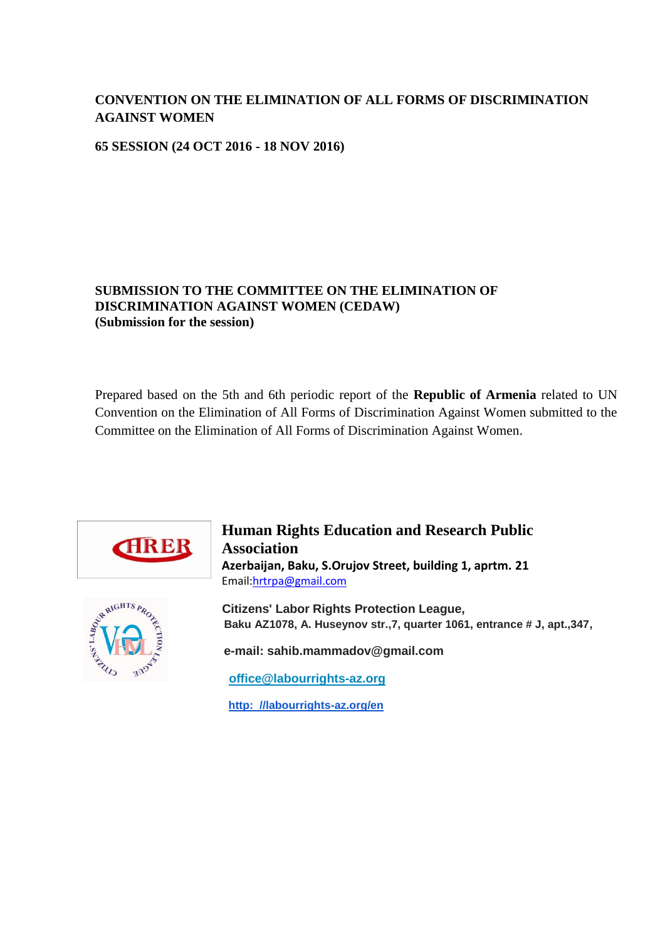# **CONVENTION ON THE ELIMINATION OF ALL FORMS OF DISCRIMINATION AGAINST WOMEN**

**65 SESSION (24 OCT 2016 - 18 NOV 2016)**

#### **SUBMISSION TO THE COMMITTEE ON THE ELIMINATION OF DISCRIMINATION AGAINST WOMEN (CEDAW) (Submission for the session)**

Prepared based on the 5th and 6th periodic report of the **Republic of Armenia** related to UN Convention on the Elimination of All Forms of Discrimination Against Women submitted to the Committee on the Elimination of All Forms of Discrimination Against Women.



**Human Rights Education and Research Public Association Azerbaijan, Baku, S.Orujov Street, building 1, aprtm. 21**  Email[:hrtrpa@gmail.com](mailto:hrtrpa@gmail.com)



 **Citizens' Labor Rights Protection League, Baku AZ1078, A. Huseynov str.,7, quarter 1061, entrance # J, apt.,347,** 

 **e-mail: sahib.mammadov@gmail.com** 

 **[office@labourrights-az.org](mailto:office@labourrights-az.org)**

 **[http: //labourrights-az.org/en](http://labourrights-az.org/en)**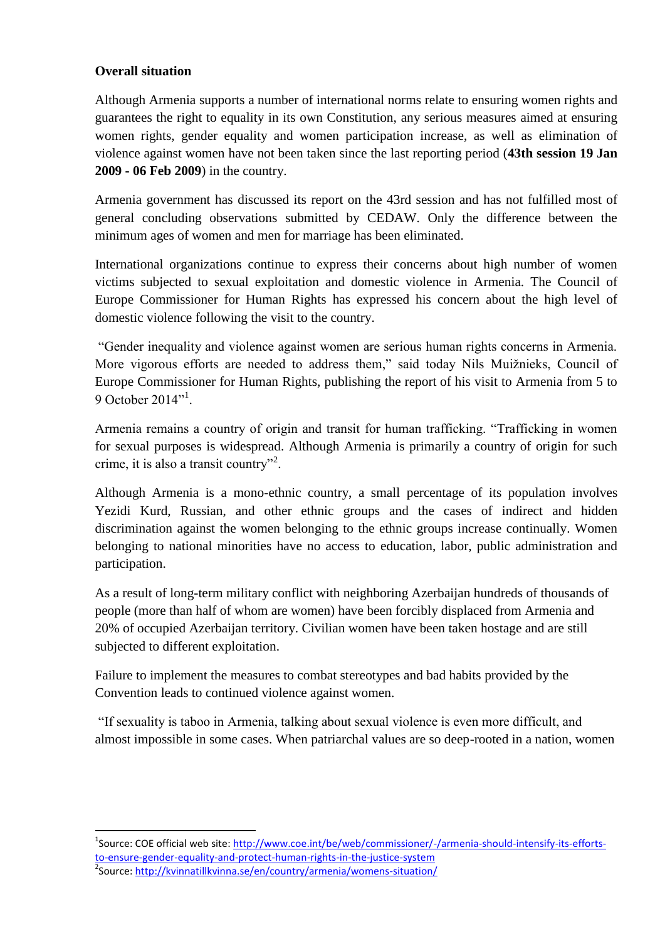#### **Overall situation**

 $\overline{a}$ 

Although Armenia supports a number of international norms relate to ensuring women rights and guarantees the right to equality in its own Constitution, any serious measures aimed at ensuring women rights, gender equality and women participation increase, as well as elimination of violence against women have not been taken since the last reporting period (**43th session 19 Jan 2009 - 06 Feb 2009**) in the country.

Armenia government has discussed its report on the 43rd session and has not fulfilled most of general concluding observations submitted by CEDAW. Only the difference between the minimum ages of women and men for marriage has been eliminated.

International organizations continue to express their concerns about high number of women victims subjected to sexual exploitation and domestic violence in Armenia. The Council of Europe Commissioner for Human Rights has expressed his concern about the high level of domestic violence following the visit to the country.

"Gender inequality and violence against women are serious human rights concerns in Armenia. More vigorous efforts are needed to address them," said today Nils Muižnieks, Council of Europe Commissioner for Human Rights, publishing the [report](https://wcd.coe.int/ViewDoc.jsp?Ref=CommDH(2015)2) of his visit to Armenia from 5 to 9 October 2014"<sup>1</sup>.

Armenia remains a country of origin and transit for human trafficking. "Trafficking in women for sexual purposes is widespread. Although Armenia is primarily a country of origin for such crime, it is also a transit country"<sup>2</sup>.

Although Armenia is a mono-ethnic country, a small percentage of its population involves Yezidi Kurd, Russian, and other ethnic groups and the cases of indirect and hidden discrimination against the women belonging to the ethnic groups increase continually. Women belonging to national minorities have no access to education, labor, public administration and participation.

As a result of long-term military conflict with neighboring Azerbaijan hundreds of thousands of people (more than half of whom are women) have been forcibly displaced from Armenia and 20% of occupied Azerbaijan territory. Civilian women have been taken hostage and are still subjected to different exploitation.

Failure to implement the measures to combat stereotypes and bad habits provided by the Convention leads to continued violence against women.

"If sexuality is taboo in Armenia, talking about sexual violence is even more difficult, and almost impossible in some cases. When patriarchal values are so deep-rooted in a nation, women

<sup>&</sup>lt;sup>1</sup>Source: COE official web site: [http://www.coe.int/be/web/commissioner/-/armenia-should-intensify-its-efforts](http://www.coe.int/be/web/commissioner/-/armenia-should-intensify-its-efforts-to-ensure-gender-equality-and-protect-human-rights-in-the-justice-system)[to-ensure-gender-equality-and-protect-human-rights-in-the-justice-system](http://www.coe.int/be/web/commissioner/-/armenia-should-intensify-its-efforts-to-ensure-gender-equality-and-protect-human-rights-in-the-justice-system) <sup>2</sup>Source: <u>http://kvinnatillkvinna.se/en/country/armenia/womens-situation/</u>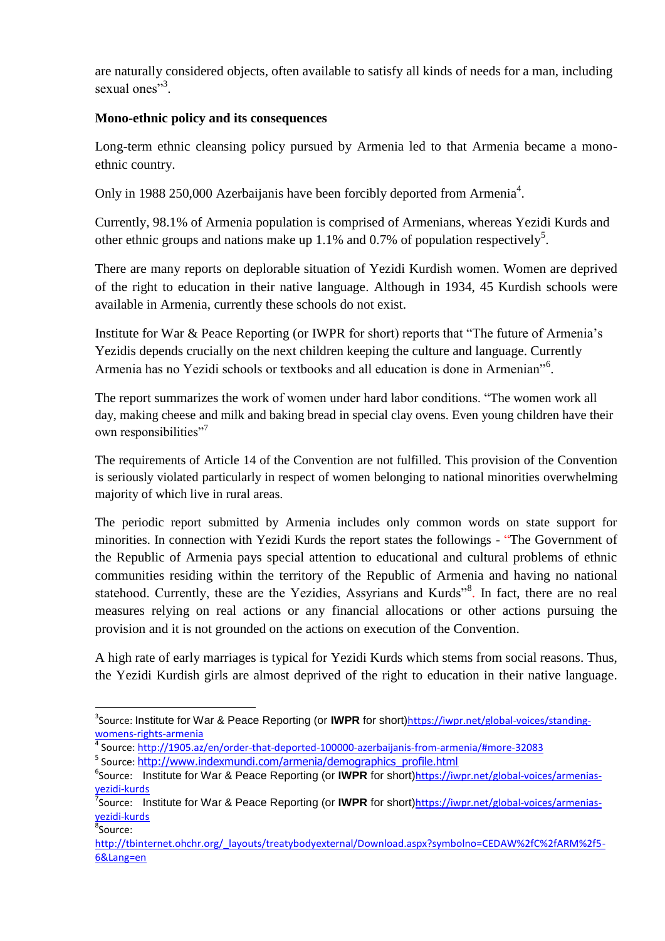are naturally considered objects, often available to satisfy all kinds of needs for a man, including sexual ones"<sup>3</sup>.

## **Mono-ethnic policy and its consequences**

Long-term ethnic cleansing policy pursued by Armenia led to that Armenia became a monoethnic country.

Only in 1988 250,000 Azerbaijanis have been forcibly deported from Armenia<sup>4</sup>.

Currently, 98.1% of Armenia population is comprised of Armenians, whereas Yezidi Kurds and other ethnic groups and nations make up 1.1% and 0.7% of population respectively<sup>5</sup>.

There are many reports on deplorable situation of Yezidi Kurdish women. Women are deprived of the right to education in their native language. Although in 1934, 45 Kurdish schools were available in Armenia, currently these schools do not exist.

Institute for War & Peace Reporting (or IWPR for short) reports that "The future of Armenia's Yezidis depends crucially on the next children keeping the culture and language. Currently Armenia has no Yezidi schools or textbooks and all education is done in Armenian"<sup>6</sup>.

The report summarizes the work of women under hard labor conditions. "The women work all day, making cheese and milk and baking bread in special clay ovens. Even young children have their own responsibilities"<sup>7</sup>

The requirements of Article 14 of the Convention are not fulfilled. This provision of the Convention is seriously violated particularly in respect of women belonging to national minorities overwhelming majority of which live in rural areas.

The periodic report submitted by Armenia includes only common words on state support for minorities. In connection with Yezidi Kurds the report states the followings - "The Government of the Republic of Armenia pays special attention to educational and cultural problems of ethnic communities residing within the territory of the Republic of Armenia and having no national statehood. Currently, these are the Yezidies, Assyrians and Kurds"<sup>8</sup>. In fact, there are no real measures relying on real actions or any financial allocations or other actions pursuing the provision and it is not grounded on the actions on execution of the Convention.

A high rate of early marriages is typical for Yezidi Kurds which stems from social reasons. Thus, the Yezidi Kurdish girls are almost deprived of the right to education in their native language.

<sup>1</sup> <sup>3</sup>Source: Institute for War & Peace Reporting (or IWPR for short)[https://iwpr.net/global-voices/standing](https://iwpr.net/global-voices/standing-womens-rights-armenia)[womens-rights-armenia](https://iwpr.net/global-voices/standing-womens-rights-armenia)

<sup>4</sup> Source[: http://1905.az/en/order-that-deported-100000-azerbaijanis-from-armenia/#more-32083](http://1905.az/en/order-that-deported-100000-azerbaijanis-from-armenia/#more-32083)

<sup>&</sup>lt;sup>5</sup> Source: [http://www.indexmundi.com/armenia/demographics\\_profile.html](http://www.indexmundi.com/armenia/demographics_profile.html)

<sup>&</sup>lt;sup>6</sup>Source: Institute for War & Peace Reporting (or IWPR for short)[https://iwpr.net/global-voices/armenias](https://iwpr.net/global-voices/armenias-yezidi-kurds)[yezidi-kurds](https://iwpr.net/global-voices/armenias-yezidi-kurds)

<sup>&</sup>lt;sup>7</sup>Source: Institute for War & Peace Reporting (or IWPR for short)[https://iwpr.net/global-voices/armenias](https://iwpr.net/global-voices/armenias-yezidi-kurds)[yezidi-kurds](https://iwpr.net/global-voices/armenias-yezidi-kurds) 8 Source:

[http://tbinternet.ohchr.org/\\_layouts/treatybodyexternal/Download.aspx?symbolno=CEDAW%2fC%2fARM%2f5-](http://tbinternet.ohchr.org/_layouts/treatybodyexternal/Download.aspx?symbolno=CEDAW%2fC%2fARM%2f5-6&Lang=en) [6&Lang=en](http://tbinternet.ohchr.org/_layouts/treatybodyexternal/Download.aspx?symbolno=CEDAW%2fC%2fARM%2f5-6&Lang=en)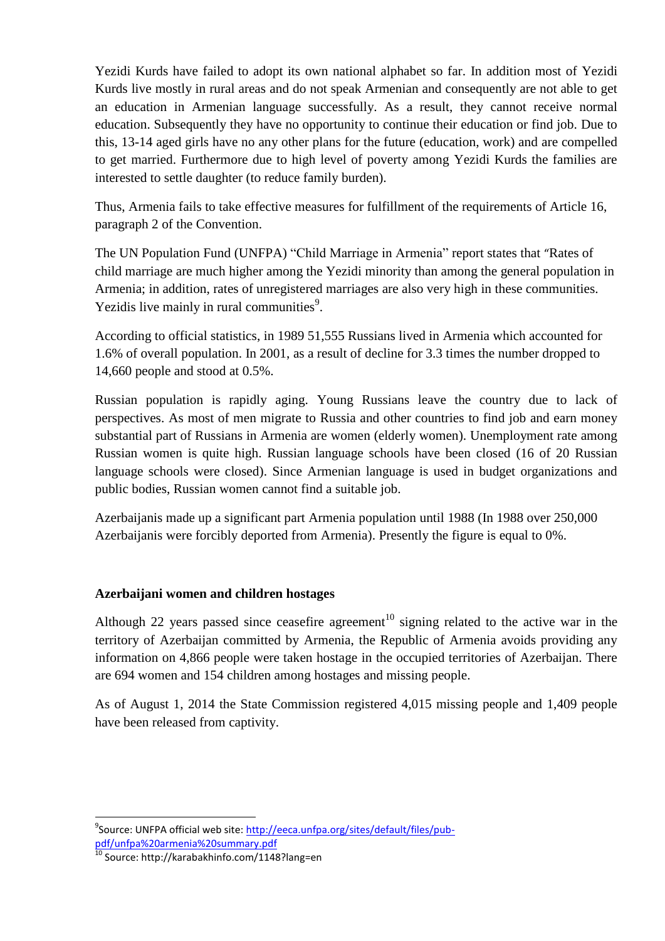Yezidi Kurds have failed to adopt its own national alphabet so far. In addition most of Yezidi Kurds live mostly in rural areas and do not speak Armenian and consequently are not able to get an education in Armenian language successfully. As a result, they cannot receive normal education. Subsequently they have no opportunity to continue their education or find job. Due to this, 13-14 aged girls have no any other plans for the future (education, work) and are compelled to get married. Furthermore due to high level of poverty among Yezidi Kurds the families are interested to settle daughter (to reduce family burden).

Thus, Armenia fails to take effective measures for fulfillment of the requirements of Article 16, paragraph 2 of the Convention.

The UN Population Fund (UNFPA) "Child Marriage in Armenia" report states that "Rates of child marriage are much higher among the Yezidi minority than among the general population in Armenia; in addition, rates of unregistered marriages are also very high in these communities. Yezidis live mainly in rural communities $9$ .

According to official statistics, in 1989 51,555 Russians lived in Armenia which accounted for 1.6% of overall population. In 2001, as a result of decline for 3.3 times the number dropped to 14,660 people and stood at 0.5%.

Russian population is rapidly aging. Young Russians leave the country due to lack of perspectives. As most of men migrate to Russia and other countries to find job and earn money substantial part of Russians in Armenia are women (elderly women). Unemployment rate among Russian women is quite high. Russian language schools have been closed (16 of 20 Russian language schools were closed). Since Armenian language is used in budget organizations and public bodies, Russian women cannot find a suitable job.

Azerbaijanis made up a significant part Armenia population until 1988 (In 1988 over 250,000 Azerbaijanis were forcibly deported from Armenia). Presently the figure is equal to 0%.

# **Azerbaijani women and children hostages**

Although 22 years passed since ceasefire agreement<sup>10</sup> signing related to the active war in the territory of Azerbaijan committed by Armenia, the Republic of Armenia avoids providing any information on 4,866 people were taken hostage in the occupied territories of Azerbaijan. There are 694 women and 154 children among hostages and missing people.

As of August 1, 2014 the State Commission registered 4,015 missing people and 1,409 people have been released from captivity.

**.** 

<sup>&</sup>lt;sup>9</sup>Source: UNFPA official web site: <u>http://eeca.unfpa.org/sites/default/files/pub-</u> [pdf/unfpa%20armenia%20summary.pdf](http://eeca.unfpa.org/sites/default/files/pub-pdf/unfpa%20armenia%20summary.pdf)

<sup>10</sup> Source: http://karabakhinfo.com/1148?lang=en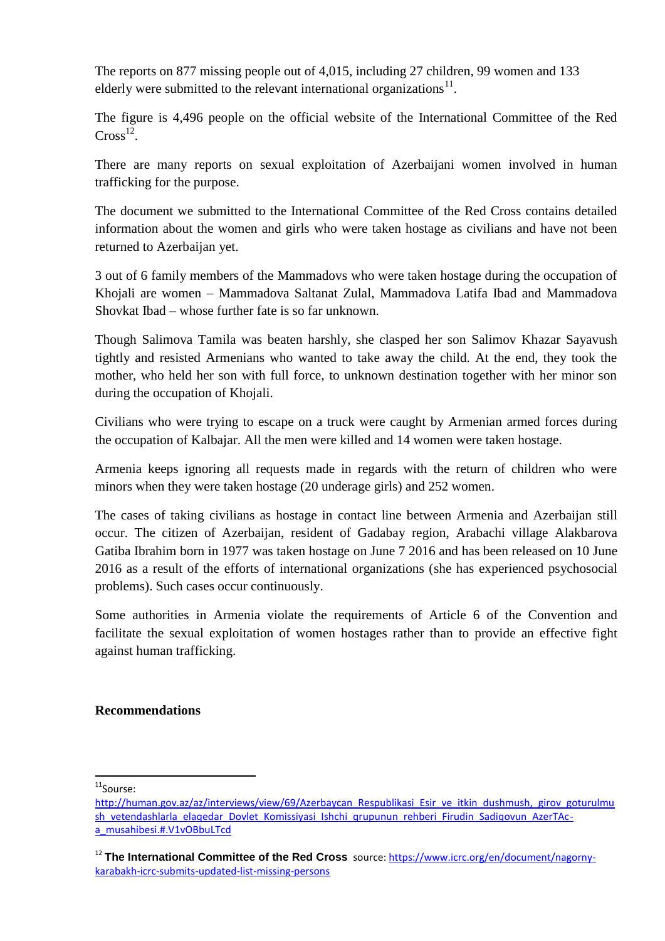The reports on 877 missing people out of 4,015, including 27 children, 99 women and 133 elderly were submitted to the relevant international organizations $^{11}$ .

The figure is 4,496 people on the official website of the International Committee of the Red  $Cross<sup>12</sup>$ .

There are many reports on sexual exploitation of Azerbaijani women involved in human trafficking for the purpose.

The document we submitted to the International Committee of the Red Cross contains detailed information about the women and girls who were taken hostage as civilians and have not been returned to Azerbaijan yet.

3 out of 6 family members of the Mammadovs who were taken hostage during the occupation of Khojali are women – Mammadova Saltanat Zulal, Mammadova Latifa Ibad and Mammadova Shovkat Ibad – whose further fate is so far unknown.

Though Salimova Tamila was beaten harshly, she clasped her son Salimov Khazar Sayavush tightly and resisted Armenians who wanted to take away the child. At the end, they took the mother, who held her son with full force, to unknown destination together with her minor son during the occupation of Khojali.

Civilians who were trying to escape on a truck were caught by Armenian armed forces during the occupation of Kalbajar. All the men were killed and 14 women were taken hostage.

Armenia keeps ignoring all requests made in regards with the return of children who were minors when they were taken hostage (20 underage girls) and 252 women.

The cases of taking civilians as hostage in contact line between Armenia and Azerbaijan still occur. The citizen of Azerbaijan, resident of Gadabay region, Arabachi village Alakbarova Gatiba Ibrahim born in 1977 was taken hostage on June 7 2016 and has been released on 10 June 2016 as a result of the efforts of international organizations (she has experienced psychosocial problems). Such cases occur continuously.

Some authorities in Armenia violate the requirements of Article 6 of the Convention and facilitate the sexual exploitation of women hostages rather than to provide an effective fight against human trafficking.

#### **Recommendations**

**.** <sup>11</sup>Sourse:

[http://human.gov.az/az/interviews/view/69/Azerbaycan\\_Respublikasi\\_Esir\\_ve\\_itkin\\_dushmush,\\_girov\\_goturulmu](http://human.gov.az/az/interviews/view/69/Azerbaycan_Respublikasi_Esir_ve_itkin_dushmush,_girov_goturulmush_vetendashlarla_elaqedar_Dovlet_Komissiyasi_Ishchi_qrupunun_rehberi_Firudin_Sadiqovun_AzerTAc-a_musahibesi.#.V1vOBbuLTcd) [sh\\_vetendashlarla\\_elaqedar\\_Dovlet\\_Komissiyasi\\_Ishchi\\_qrupunun\\_rehberi\\_Firudin\\_Sadiqovun\\_AzerTAc](http://human.gov.az/az/interviews/view/69/Azerbaycan_Respublikasi_Esir_ve_itkin_dushmush,_girov_goturulmush_vetendashlarla_elaqedar_Dovlet_Komissiyasi_Ishchi_qrupunun_rehberi_Firudin_Sadiqovun_AzerTAc-a_musahibesi.#.V1vOBbuLTcd)[a\\_musahibesi.#.V1vOBbuLTcd](http://human.gov.az/az/interviews/view/69/Azerbaycan_Respublikasi_Esir_ve_itkin_dushmush,_girov_goturulmush_vetendashlarla_elaqedar_Dovlet_Komissiyasi_Ishchi_qrupunun_rehberi_Firudin_Sadiqovun_AzerTAc-a_musahibesi.#.V1vOBbuLTcd)

<sup>12</sup> **The International Committee of the Red Cross** source: [https://www.icrc.org/en/document/nagorny](https://www.icrc.org/en/document/nagorny-karabakh-icrc-submits-updated-list-missing-persons)[karabakh-icrc-submits-updated-list-missing-persons](https://www.icrc.org/en/document/nagorny-karabakh-icrc-submits-updated-list-missing-persons)